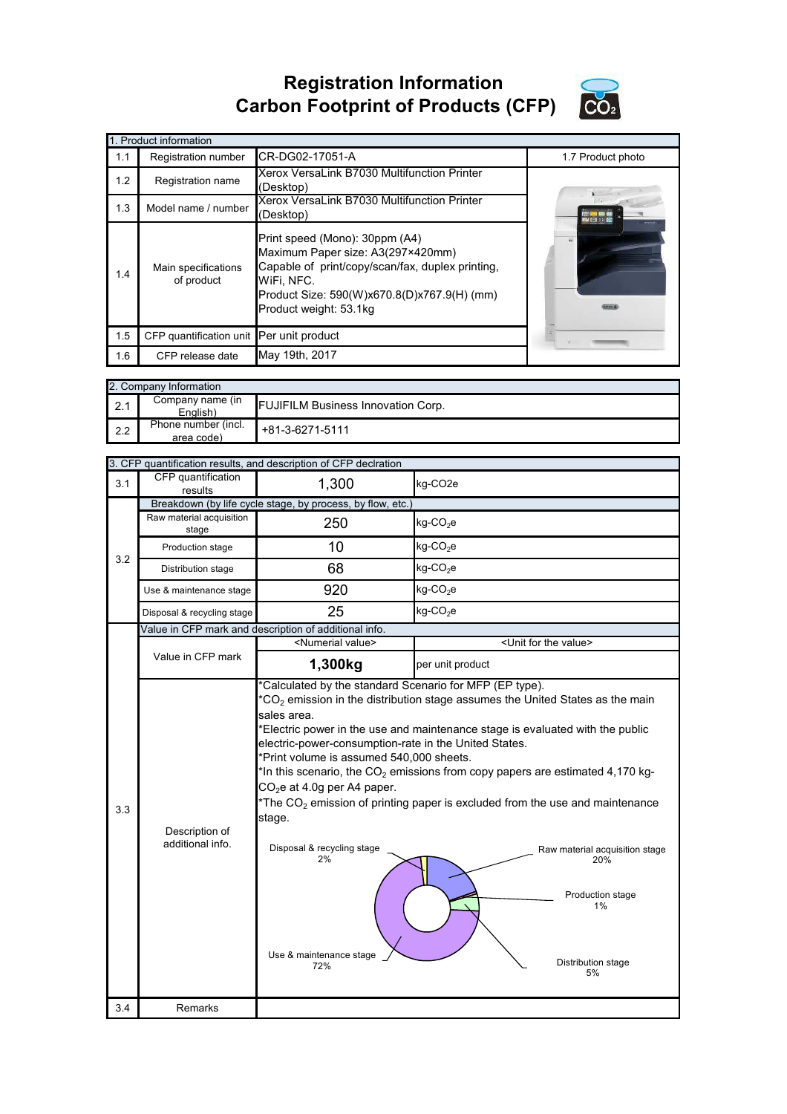## **Registration Information Carbon Footprint of Products (CFP)**



|     | 1. Product information                   |                                                                                                                                                                                                                |                   |  |  |  |
|-----|------------------------------------------|----------------------------------------------------------------------------------------------------------------------------------------------------------------------------------------------------------------|-------------------|--|--|--|
| 1.1 | Registration number                      | CR-DG02-17051-A                                                                                                                                                                                                | 1.7 Product photo |  |  |  |
| 1.2 | Registration name                        | Xerox VersaLink B7030 Multifunction Printer<br>(Desktop)                                                                                                                                                       |                   |  |  |  |
| 1.3 | Model name / number                      | Xerox VersaLink B7030 Multifunction Printer<br>(Desktop)                                                                                                                                                       |                   |  |  |  |
| 1.4 | Main specifications<br>of product        | Print speed (Mono): 30ppm (A4)<br>Maximum Paper size: A3(297×420mm)<br>Capable of print/copy/scan/fax, duplex printing,<br>WiFi, NFC.<br>Product Size: 590(W)x670.8(D)x767.9(H) (mm)<br>Product weight: 53.1kg |                   |  |  |  |
| 1.5 | CFP quantification unit Per unit product |                                                                                                                                                                                                                |                   |  |  |  |
| 1.6 | CFP release date                         | May 19th, 2017                                                                                                                                                                                                 |                   |  |  |  |

|     | 2. Company Information            |                                           |  |  |  |
|-----|-----------------------------------|-------------------------------------------|--|--|--|
| 2.1 | Company name (in<br>English)      | <b>FUJIFILM Business Innovation Corp.</b> |  |  |  |
| 2.2 | Phone number (incl.<br>area code) | $+81-3-6271-5111$                         |  |  |  |

|     |                                    | 3. CFP quantification results, and description of CFP declration                                                                                                                                                                                                                            |                                                                                                                                                                                                                                                                                                                                                                                                                                                   |  |
|-----|------------------------------------|---------------------------------------------------------------------------------------------------------------------------------------------------------------------------------------------------------------------------------------------------------------------------------------------|---------------------------------------------------------------------------------------------------------------------------------------------------------------------------------------------------------------------------------------------------------------------------------------------------------------------------------------------------------------------------------------------------------------------------------------------------|--|
| 3.1 | CFP quantification<br>results      | 1,300                                                                                                                                                                                                                                                                                       | kg-CO <sub>2e</sub>                                                                                                                                                                                                                                                                                                                                                                                                                               |  |
|     |                                    | Breakdown (by life cycle stage, by process, by flow, etc.)                                                                                                                                                                                                                                  |                                                                                                                                                                                                                                                                                                                                                                                                                                                   |  |
|     | Raw material acquisition<br>stage  | 250                                                                                                                                                                                                                                                                                         | $kg$ -CO <sub>2</sub> e                                                                                                                                                                                                                                                                                                                                                                                                                           |  |
| 3.2 | Production stage                   | 10                                                                                                                                                                                                                                                                                          | $kg$ -CO <sub>2</sub> e                                                                                                                                                                                                                                                                                                                                                                                                                           |  |
|     | Distribution stage                 | 68                                                                                                                                                                                                                                                                                          | kg-CO <sub>2</sub> e                                                                                                                                                                                                                                                                                                                                                                                                                              |  |
|     | Use & maintenance stage            | 920                                                                                                                                                                                                                                                                                         | $kg$ -CO <sub>2</sub> e                                                                                                                                                                                                                                                                                                                                                                                                                           |  |
|     | Disposal & recycling stage         | 25                                                                                                                                                                                                                                                                                          | $kg$ -CO <sub>2</sub> e                                                                                                                                                                                                                                                                                                                                                                                                                           |  |
|     |                                    | Value in CFP mark and description of additional info.                                                                                                                                                                                                                                       |                                                                                                                                                                                                                                                                                                                                                                                                                                                   |  |
|     |                                    | <numerial value=""></numerial>                                                                                                                                                                                                                                                              | <unit for="" the="" value=""></unit>                                                                                                                                                                                                                                                                                                                                                                                                              |  |
|     | Value in CFP mark                  | 1,300kg                                                                                                                                                                                                                                                                                     | per unit product                                                                                                                                                                                                                                                                                                                                                                                                                                  |  |
| 3.3 | Description of<br>additional info. | *Calculated by the standard Scenario for MFP (EP type).<br>sales area.<br>electric-power-consumption-rate in the United States.<br>*Print volume is assumed 540,000 sheets.<br>$CO2e$ at 4.0g per A4 paper.<br>stage.<br>Disposal & recycling stage<br>2%<br>Use & maintenance stage<br>72% | $*$ CO <sub>2</sub> emission in the distribution stage assumes the United States as the main<br>*Electric power in the use and maintenance stage is evaluated with the public<br>*In this scenario, the $CO2$ emissions from copy papers are estimated 4,170 kg-<br>*The $CO2$ emission of printing paper is excluded from the use and maintenance<br>Raw material acquisition stage<br>20%<br>Production stage<br>1%<br>Distribution stage<br>5% |  |
| 3.4 | Remarks                            |                                                                                                                                                                                                                                                                                             |                                                                                                                                                                                                                                                                                                                                                                                                                                                   |  |